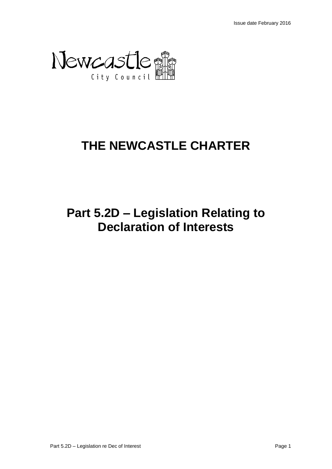

# **THE NEWCASTLE CHARTER**

# **Part 5.2D – Legislation Relating to Declaration of Interests**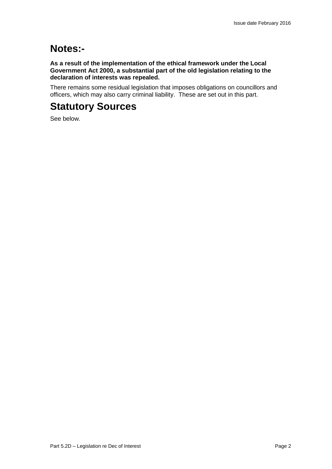## **Notes:-**

**As a result of the implementation of the ethical framework under the Local Government Act 2000, a substantial part of the old legislation relating to the declaration of interests was repealed.**

There remains some residual legislation that imposes obligations on councillors and officers, which may also carry criminal liability. These are set out in this part.

# **Statutory Sources**

See below.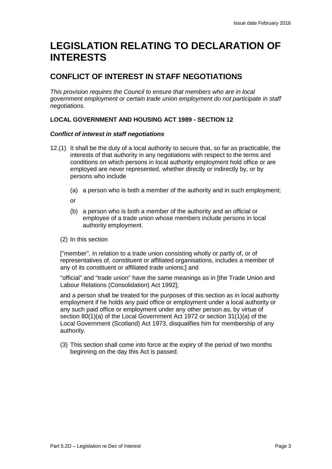# **LEGISLATION RELATING TO DECLARATION OF INTERESTS**

### **CONFLICT OF INTEREST IN STAFF NEGOTIATIONS**

*This provision requires the Council to ensure that members who are in local government employment or certain trade union employment do not participate in staff negotiations.*

#### **LOCAL GOVERNMENT AND HOUSING ACT 1989 - SECTION 12**

#### *Conflict of interest in staff negotiations*

- 12.(1) It shall be the duty of a local authority to secure that, so far as practicable, the interests of that authority in any negotiations with respect to the terms and conditions on which persons in local authority employment hold office or are employed are never represented, whether directly or indirectly by, or by persons who include
	- (a) a person who is both a member of the authority and in such employment;
	- or
	- (b) a person who is both a member of the authority and an official or employee of a trade union whose members include persons in local authority employment.
	- (2) In this section

["member", in relation to a trade union consisting wholly or partly of, or of representatives of, constituent or affiliated organisations, includes a member of any of its constituent or affiliated trade unions;] and

"official" and "trade union" have the same meanings as in [the Trade Union and Labour Relations (Consolidation) Act 1992];

and a person shall be treated for the purposes of this section as in local authority employment if he holds any paid office or employment under a local authority or any such paid office or employment under any other person as, by virtue of section 80(1)(a) of the Local Government Act 1972 or section 31(1)(a) of the Local Government (Scotland) Act 1973, disqualifies him for membership of any authority.

(3) This section shall come into force at the expiry of the period of two months beginning on the day this Act is passed.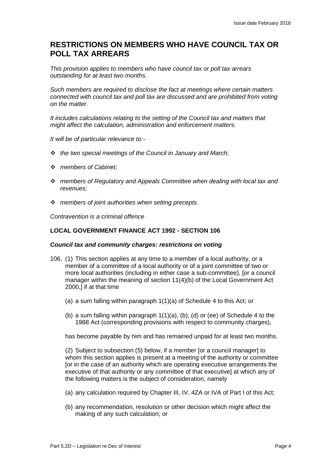### **RESTRICTIONS ON MEMBERS WHO HAVE COUNCIL TAX OR POLL TAX ARREARS**

*This provision applies to members who have council tax or poll tax arrears outstanding for at least two months.*

*Such members are required to disclose the fact at meetings where certain matters connected with council tax and poll tax are discussed and are prohibited from voting on the matter.* 

*It includes calculations relating to the setting of the Council tax and matters that might affect the calculation, administration and enforcement matters.*

*It will be of particular relevance to:-*

- *the two special meetings of the Council in January and March;*
- *members of Cabinet;*
- *members of Regulatory and Appeals Committee when dealing with local tax and revenues;*
- *members of joint authorities when setting precepts.*

*Contravention is a criminal offence*

#### **LOCAL GOVERNMENT FINANCE ACT 1992 - SECTION 106**

#### *Council tax and community charges: restrictions on voting*

- 106. (1) This section applies at any time to a member of a local authority, or a member of a committee of a local authority or of a joint committee of two or more local authorities (including in either case a sub-committee), [or a council manager within the meaning of section 11(4)(b) of the Local Government Act 2000,] if at that time
	- (a) a sum falling within paragraph 1(1)(a) of Schedule 4 to this Act; or
	- (b) a sum falling within paragraph  $1(1)(a)$ , (b), (d) or (ee) of Schedule 4 to the 1988 Act (corresponding provisions with respect to community charges),

has become payable by him and has remained unpaid for at least two months.

(2) Subject to subsection (5) below, if a member [or a council manager] to whom this section applies is present at a meeting of the authority or committee [or in the case of an authority which are operating executive arrangements the executive of that authority or any committee of that executive] at which any of the following matters is the subject of consideration, namely

- (a) any calculation required by Chapter III, IV, 4ZA or IVA of Part I of this Act;
- (b) any recommendation, resolution or other decision which might affect the making of any such calculation; or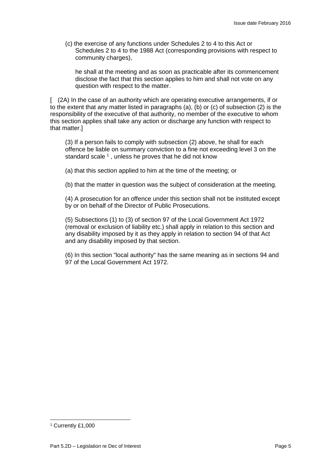(c) the exercise of any functions under Schedules 2 to 4 to this Act or Schedules 2 to 4 to the 1988 Act (corresponding provisions with respect to community charges),

he shall at the meeting and as soon as practicable after its commencement disclose the fact that this section applies to him and shall not vote on any question with respect to the matter.

[ (2A) In the case of an authority which are operating executive arrangements, if or to the extent that any matter listed in paragraphs (a), (b) or (c) of subsection (2) is the responsibility of the executive of that authority, no member of the executive to whom this section applies shall take any action or discharge any function with respect to that matter.]

(3) If a person fails to comply with subsection (2) above, he shall for each offence be liable on summary conviction to a fine not exceeding level 3 on the standard scale <sup>1</sup>, unless he proves that he did not know

(a) that this section applied to him at the time of the meeting; or

(b) that the matter in question was the subject of consideration at the meeting.

(4) A prosecution for an offence under this section shall not be instituted except by or on behalf of the Director of Public Prosecutions.

(5) Subsections (1) to (3) of section 97 of the Local Government Act 1972 (removal or exclusion of liability etc.) shall apply in relation to this section and any disability imposed by it as they apply in relation to section 94 of that Act and any disability imposed by that section.

(6) In this section "local authority" has the same meaning as in sections 94 and 97 of the Local Government Act 1972.

-

<sup>1</sup> Currently £1,000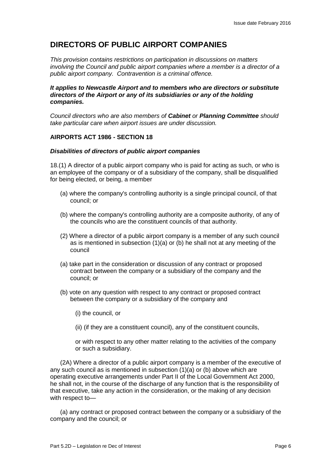## **DIRECTORS OF PUBLIC AIRPORT COMPANIES**

*This provision contains restrictions on participation in discussions on matters involving the Council and public airport companies where a member is a director of a public airport company. Contravention is a criminal offence.*

#### *It applies to Newcastle Airport and to members who are directors or substitute directors of the Airport or any of its subsidiaries or any of the holding companies.*

*Council directors who are also members of Cabinet or Planning Committee should take particular care when airport issues are under discussion.*

#### **AIRPORTS ACT 1986 - SECTION 18**

#### *Disabilities of directors of public airport companies*

18.(1) A director of a public airport company who is paid for acting as such, or who is an employee of the company or of a subsidiary of the company, shall be disqualified for being elected, or being, a member

- (a) where the company's controlling authority is a single principal council, of that council; or
- (b) where the company's controlling authority are a composite authority, of any of the councils who are the constituent councils of that authority.
- (2) Where a director of a public airport company is a member of any such council as is mentioned in subsection (1)(a) or (b) he shall not at any meeting of the council
- (a) take part in the consideration or discussion of any contract or proposed contract between the company or a subsidiary of the company and the council; or
- (b) vote on any question with respect to any contract or proposed contract between the company or a subsidiary of the company and
	- (i) the council, or
	- (ii) (if they are a constituent council), any of the constituent councils,

or with respect to any other matter relating to the activities of the company or such a subsidiary.

(2A) Where a director of a public airport company is a member of the executive of any such council as is mentioned in subsection (1)(a) or (b) above which are operating executive arrangements under Part II of the Local Government Act 2000, he shall not, in the course of the discharge of any function that is the responsibility of that executive, take any action in the consideration, or the making of any decision with respect to—

(a) any contract or proposed contract between the company or a subsidiary of the company and the council; or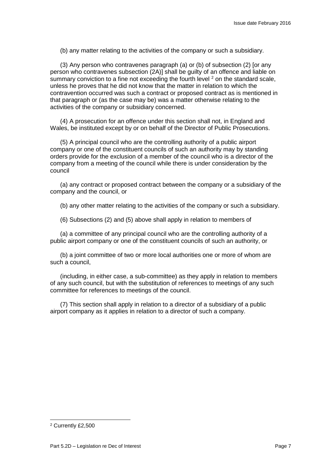(b) any matter relating to the activities of the company or such a subsidiary.

(3) Any person who contravenes paragraph (a) or (b) of subsection (2) [or any person who contravenes subsection (2A)] shall be guilty of an offence and liable on summary conviction to a fine not exceeding the fourth level  $2$  on the standard scale, unless he proves that he did not know that the matter in relation to which the contravention occurred was such a contract or proposed contract as is mentioned in that paragraph or (as the case may be) was a matter otherwise relating to the activities of the company or subsidiary concerned.

(4) A prosecution for an offence under this section shall not, in England and Wales, be instituted except by or on behalf of the Director of Public Prosecutions.

(5) A principal council who are the controlling authority of a public airport company or one of the constituent councils of such an authority may by standing orders provide for the exclusion of a member of the council who is a director of the company from a meeting of the council while there is under consideration by the council

(a) any contract or proposed contract between the company or a subsidiary of the company and the council, or

(b) any other matter relating to the activities of the company or such a subsidiary.

(6) Subsections (2) and (5) above shall apply in relation to members of

(a) a committee of any principal council who are the controlling authority of a public airport company or one of the constituent councils of such an authority, or

(b) a joint committee of two or more local authorities one or more of whom are such a council,

(including, in either case, a sub-committee) as they apply in relation to members of any such council, but with the substitution of references to meetings of any such committee for references to meetings of the council.

(7) This section shall apply in relation to a director of a subsidiary of a public airport company as it applies in relation to a director of such a company.

-

<sup>2</sup> Currently £2,500